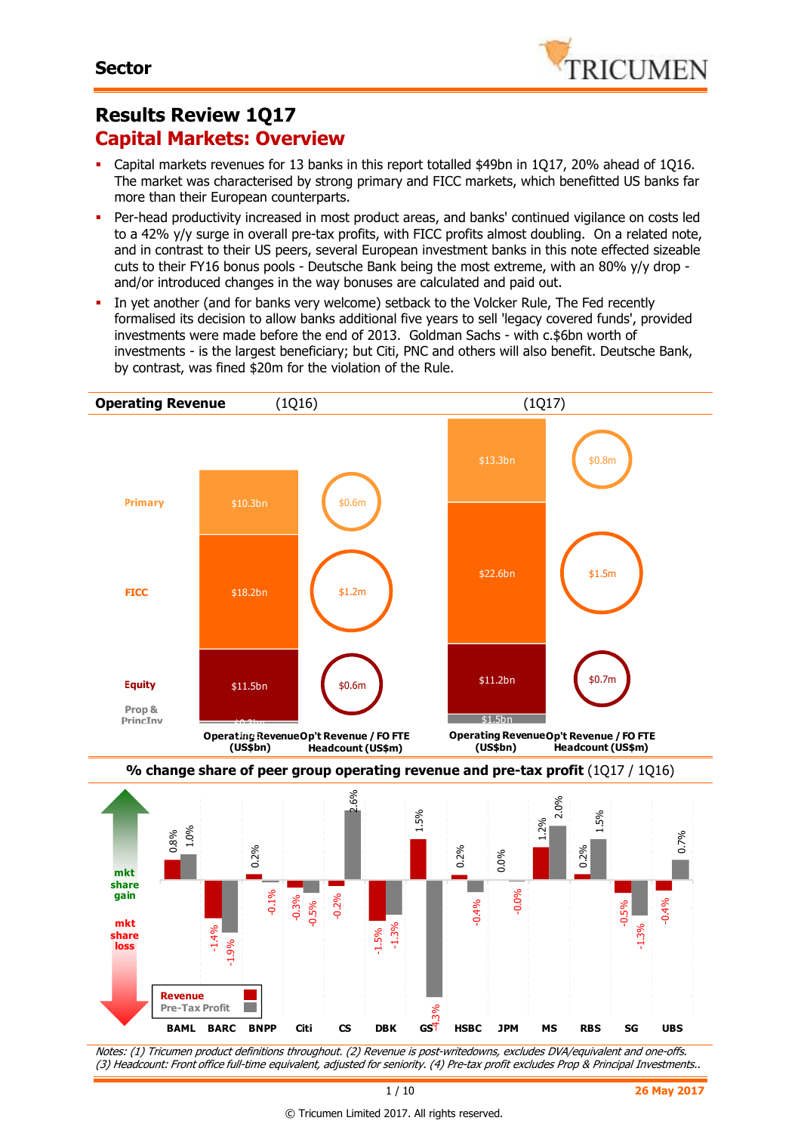# **Results Review 1Q17 Capital Markets: Overview**

- Capital markets revenues for 13 banks in this report totalled \$49bn in 1Q17, 20% ahead of 1Q16. The market was characterised by strong primary and FICC markets, which benefitted US banks far more than their European counterparts.
- Per-head productivity increased in most product areas, and banks' continued vigilance on costs led to a 42% y/y surge in overall pre-tax profits, with FICC profits almost doubling. On a related note, and in contrast to their US peers, several European investment banks in this note effected sizeable cuts to their FY16 bonus pools - Deutsche Bank being the most extreme, with an 80% y/y drop and/or introduced changes in the way bonuses are calculated and paid out.
- In yet another (and for banks very welcome) setback to the Volcker Rule, The Fed recently formalised its decision to allow banks additional five years to sell 'legacy covered funds', provided investments were made before the end of 2013. Goldman Sachs - with c.\$6bn worth of investments - is the largest beneficiary; but Citi, PNC and others will also benefit. Deutsche Bank, by contrast, was fined \$20m for the violation of the Rule.



Notes: (1) Tricumen product definitions throughout. (2) Revenue is post-writedowns, excludes DVA/equivalent and one-offs. (3) Headcount: Front office full-time equivalent, adjusted for seniority. (4) Pre-tax profit excludes Prop & Principal Investments..

#### © Tricumen Limited 2017. All rights reserved.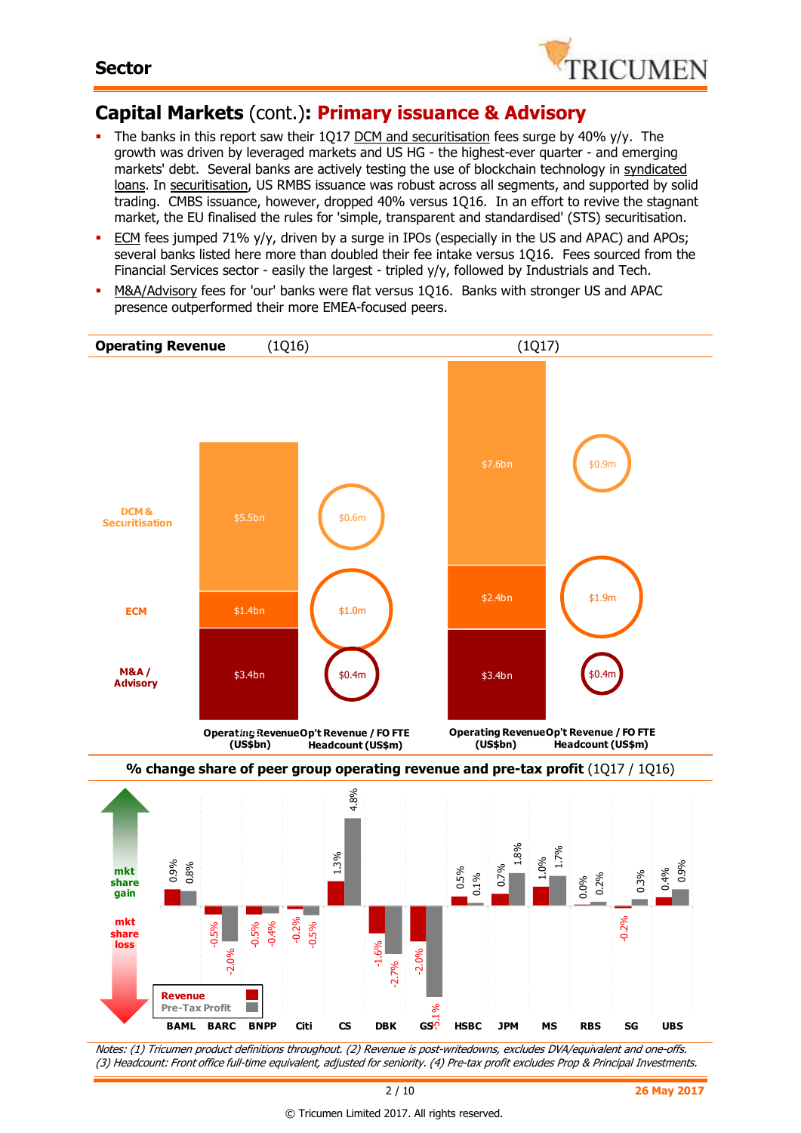

# **Capital Markets** (cont.)**: Primary issuance & Advisory**

- The banks in this report saw their 1Q17 DCM and securitisation fees surge by 40% y/y. The growth was driven by leveraged markets and US HG - the highest-ever quarter - and emerging markets' debt. Several banks are actively testing the use of blockchain technology in syndicated loans. In securitisation, US RMBS issuance was robust across all segments, and supported by solid trading. CMBS issuance, however, dropped 40% versus 1Q16. In an effort to revive the stagnant market, the EU finalised the rules for 'simple, transparent and standardised' (STS) securitisation.
- ECM fees jumped 71% y/y, driven by a surge in IPOs (especially in the US and APAC) and APOs; several banks listed here more than doubled their fee intake versus 1Q16. Fees sourced from the Financial Services sector - easily the largest - tripled y/y, followed by Industrials and Tech.
- M&A/Advisory fees for 'our' banks were flat versus 1Q16. Banks with stronger US and APAC presence outperformed their more EMEA-focused peers.

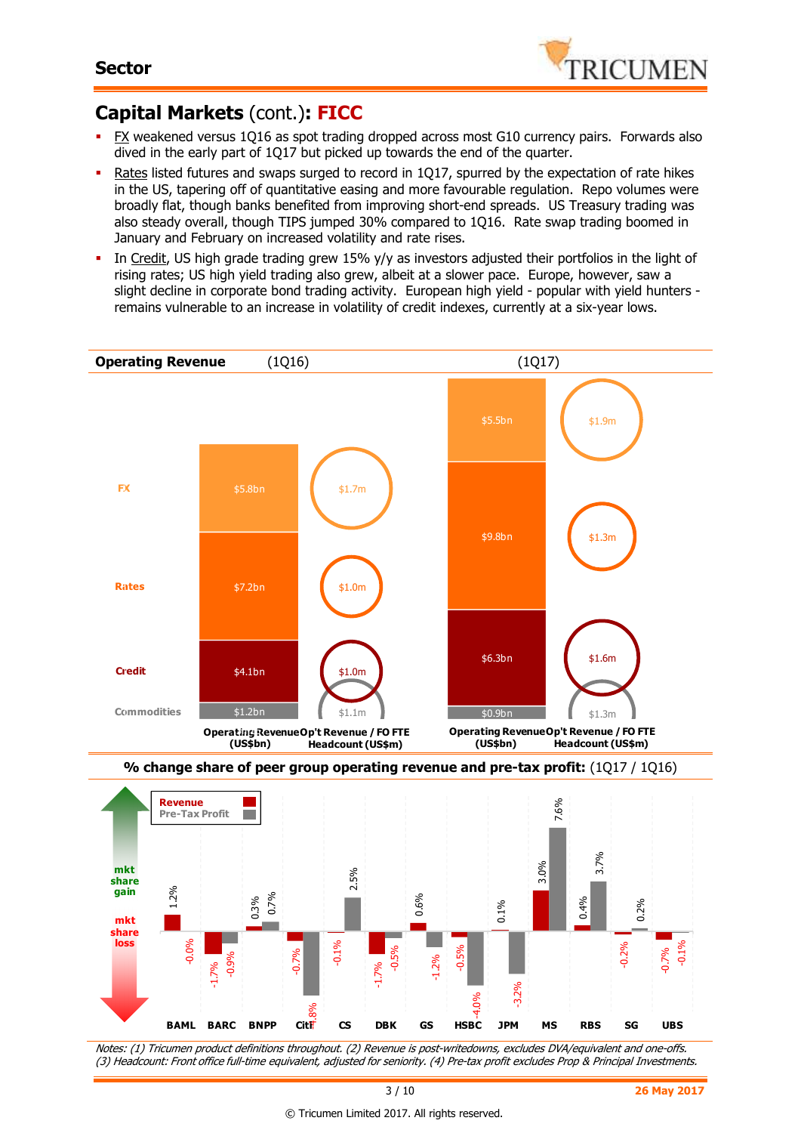

# **Capital Markets** (cont.)**: FICC**

- FX weakened versus 1Q16 as spot trading dropped across most G10 currency pairs. Forwards also dived in the early part of 1Q17 but picked up towards the end of the quarter.
- Rates listed futures and swaps surged to record in 1Q17, spurred by the expectation of rate hikes in the US, tapering off of quantitative easing and more favourable regulation. Repo volumes were broadly flat, though banks benefited from improving short-end spreads. US Treasury trading was also steady overall, though TIPS jumped 30% compared to 1Q16. Rate swap trading boomed in January and February on increased volatility and rate rises.
- In Credit, US high grade trading grew 15% y/y as investors adjusted their portfolios in the light of rising rates; US high yield trading also grew, albeit at a slower pace. Europe, however, saw a slight decline in corporate bond trading activity. European high yield - popular with yield hunters remains vulnerable to an increase in volatility of credit indexes, currently at a six-year lows.





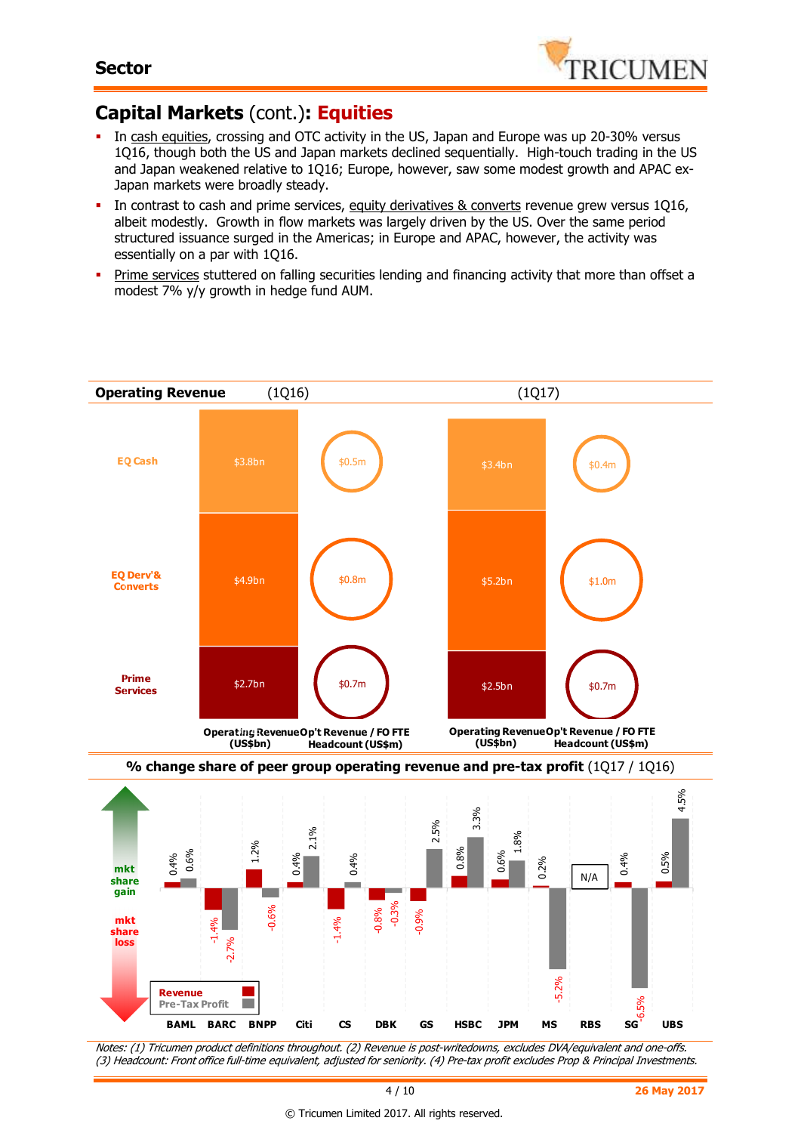

# **Capital Markets** (cont.)**: Equities**

- In cash equities, crossing and OTC activity in the US, Japan and Europe was up 20-30% versus 1Q16, though both the US and Japan markets declined sequentially. High-touch trading in the US and Japan weakened relative to 1Q16; Europe, however, saw some modest growth and APAC ex-Japan markets were broadly steady.
- In contrast to cash and prime services, equity derivatives & converts revenue grew versus 1Q16, albeit modestly. Growth in flow markets was largely driven by the US. Over the same period structured issuance surged in the Americas; in Europe and APAC, however, the activity was essentially on a par with 1Q16.
- **Prime services stuttered on falling securities lending and financing activity that more than offset a** modest 7% y/y growth in hedge fund AUM.

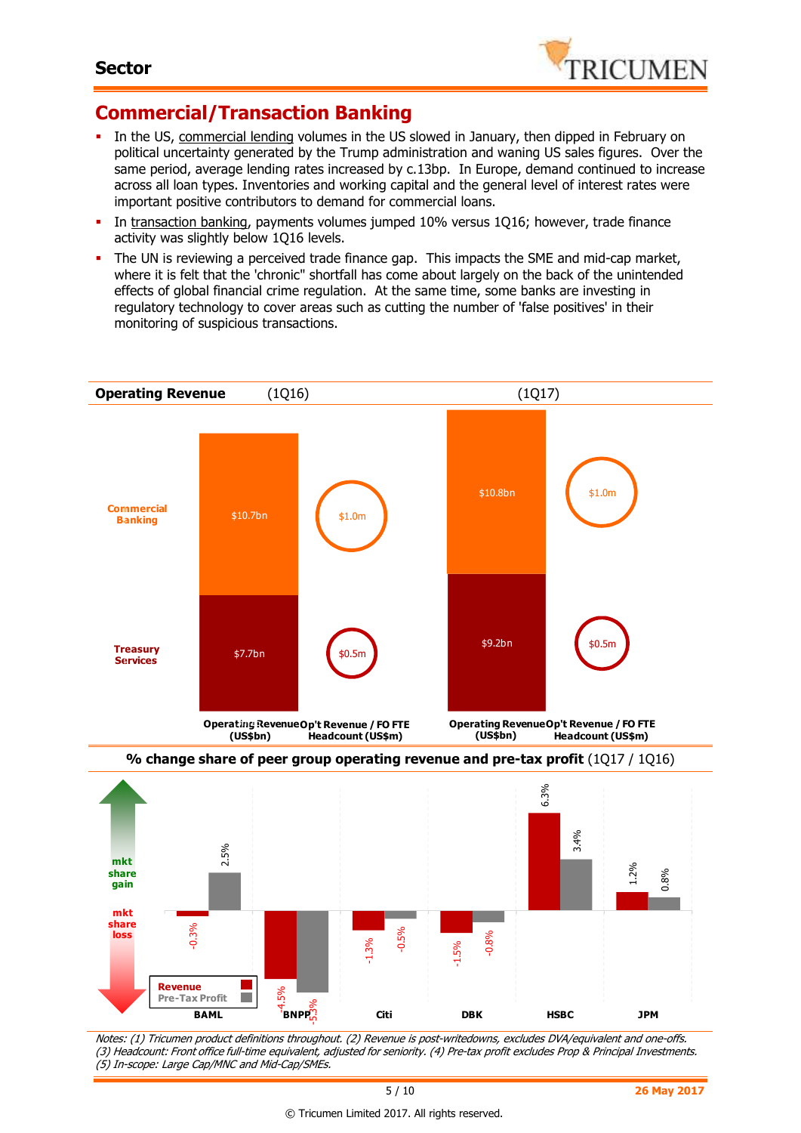

# **Commercial/Transaction Banking**

- In the US, commercial lending volumes in the US slowed in January, then dipped in February on political uncertainty generated by the Trump administration and waning US sales figures. Over the same period, average lending rates increased by c.13bp. In Europe, demand continued to increase across all loan types. Inventories and working capital and the general level of interest rates were important positive contributors to demand for commercial loans.
- In transaction banking, payments volumes jumped 10% versus 1Q16; however, trade finance activity was slightly below 1Q16 levels.
- The UN is reviewing a perceived trade finance gap. This impacts the SME and mid-cap market, where it is felt that the 'chronic" shortfall has come about largely on the back of the unintended effects of global financial crime regulation. At the same time, some banks are investing in regulatory technology to cover areas such as cutting the number of 'false positives' in their monitoring of suspicious transactions.





Notes: (1) Tricumen product definitions throughout. (2) Revenue is post-writedowns, excludes DVA/equivalent and one-offs. (3) Headcount: Front office full-time equivalent, adjusted for seniority. (4) Pre-tax profit excludes Prop & Principal Investments. (5) In-scope: Large Cap/MNC and Mid-Cap/SMEs.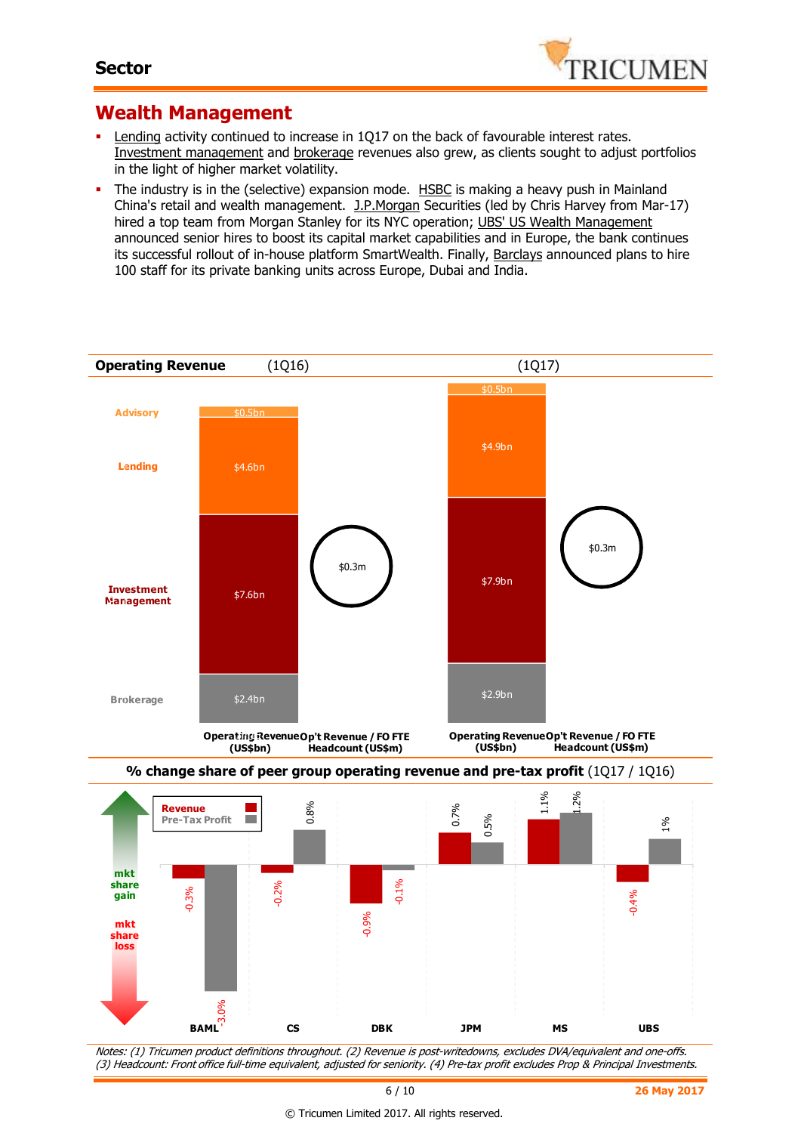

#### **Wealth Management**

- Lending activity continued to increase in 1Q17 on the back of favourable interest rates. Investment management and brokerage revenues also grew, as clients sought to adjust portfolios in the light of higher market volatility.
- The industry is in the (selective) expansion mode. HSBC is making a heavy push in Mainland China's retail and wealth management. J.P.Morgan Securities (led by Chris Harvey from Mar-17) hired a top team from Morgan Stanley for its NYC operation; UBS' US Wealth Management announced senior hires to boost its capital market capabilities and in Europe, the bank continues its successful rollout of in-house platform SmartWealth. Finally, Barclays announced plans to hire 100 staff for its private banking units across Europe, Dubai and India.

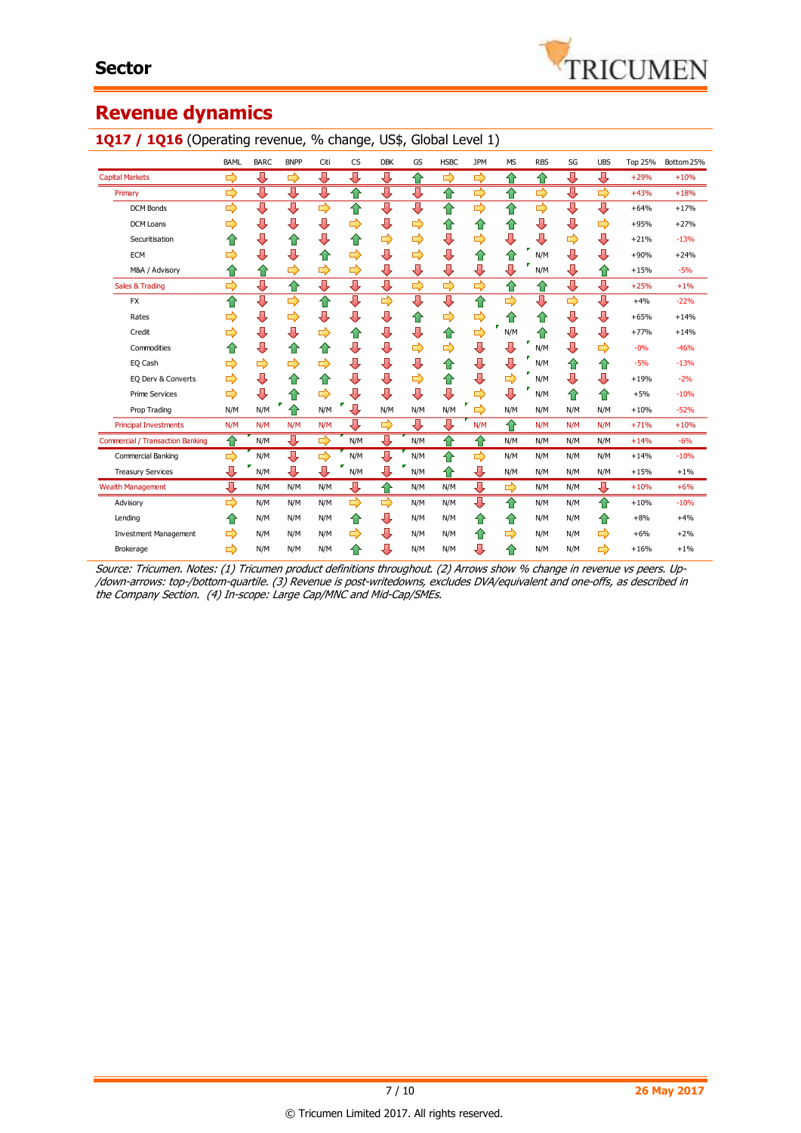# **Revenue dynamics**

|                                         | <b>BAML</b> | <b>BARC</b> | <b>BNPP</b>   | Citi | <b>CS</b> | <b>DBK</b> | GS  | <b>HSBC</b> | JPM | <b>MS</b>     | <b>RBS</b> | SG            | <b>UBS</b> | <b>Top 25%</b> | Bottom 25% |
|-----------------------------------------|-------------|-------------|---------------|------|-----------|------------|-----|-------------|-----|---------------|------------|---------------|------------|----------------|------------|
| <b>Capital Markets</b>                  | ₽           | ⇩           | ⇨             | ⇩    | ⇩         | ⇩          | 合   | ⇨           | 母   | ⇧             | ⇑          | ⇩             | ⇩          | $+29%$         | $+10%$     |
| Primary                                 | ⇨           | ⇩           | ⇩             | ⇩    | ⇑         | ⇩          | ⇩   | ⇧           | ⇨   | ⇧             | 母          | ⇩             | ⇨          | $+43%$         | $+18%$     |
| <b>DCM Bonds</b>                        | ⇨           | ⇩           | ⇩             | ⇨    | ⇧         | ⇩          | ⇩   | ⇧           | ⇨   | ⇧             | ⇨          | ⇩             | ⊕          | $+64%$         | $+17%$     |
| <b>DCM Loans</b>                        | ⇨           | ⇩           | ⇩             | ⇩    | ⇨         | ⊕          | ⇨   | ⇧           | ⇧   | ⇧             | ⇩          | ⇩             | ⇨          | $+95%$         | $+27%$     |
| Securitisation                          | ⇑           | ⇩           | ⇧             | ⇩    | ⇑         | ⇨          | ⇨   | ⇩           | ⇨   | ⊕             | ⇩          | ⇨             | ⊕          | $+21%$         | $-13%$     |
| <b>ECM</b>                              | ⇨           | ⇩           | ⇩             | ⇧    | ⇨         | ⇩          | ⇨   | ⇩           | ⇧   | ⇧             | ۳<br>N/M   | ⇩             | ⇩          | $+90%$         | $+24%$     |
| M&A / Advisory                          | ⇑           | ⇧           | $\Rightarrow$ | ⇨    | ⇨         | ⇩          | ⇩   | ⇩           | ⇩   | ⇩             | N/M        | ⇩             | ⇧          | $+15%$         | $-5%$      |
| Sales & Trading                         | ⇨           | ⇩           | ⇧             | ⇩    | ⇩         | ⇩          | ⇨   | ⇨           | ⇨   | ⇧             | ⇧          | ⇩             | ⇩          | $+25%$         | $+1%$      |
| <b>FX</b>                               | ⇧           | ⇩           | $\Rightarrow$ | ⇧    | ⊕         | 母          | ⇩   | ⇩           | ⇧   | $\Rightarrow$ | ⊕          | $\Rightarrow$ | ⇩          | $+4%$          | $-22%$     |
| Rates                                   | ⇨           | ⇩           | ⇨             | ⇩    | ⇩         | ⇩          | ⇧   | ⇨           | ⇨   | ⇧             | ⇧          | ⇩             | ⇩          | $+65%$         | $+14%$     |
| Credit                                  | ⇨           | ⇩           | ⇩             | ⇨    | ⇧         | ⇩          | ⇩   | ⇧           | ⇨   | N/M           | ⇧          | ⇩             | ⇩          | $+77%$         | $+14%$     |
| Commodities                             | ⇑           | ⇩           | ⇧             | ⇧    | ⇩         | ⇩          | ⇨   | ⇨           | ⇩   | ⇩             | N/M        | ⊕             | ⇨          | $-0%$          | $-46%$     |
| EQ Cash                                 | ⇨           | ⇨           | ⇨             | ⇨    | ⇩         | ⇩          | ⇩   | ⇧           | ⇩   | ⇩             | N/M        | ⇧             | ⇧          | $-5%$          | $-13%$     |
| EQ Derv & Converts                      | ⇨           | ⇩           | ⇧             | ⇧    | ⇩         | ⇩          | ⇨   | ⇧           | ⇩   | ⇨             | N/M        | ⇩             | ⊕          | $+19%$         | $-2%$      |
| <b>Prime Services</b>                   | ⇨           | ⇩           | ⇧             | ⇨    | ⇩         | ⇩          | ⇩   | ⇩           | ⇨   | ⊕             | N/M        | ⇧             | ⇧          | $+5%$          | $-10%$     |
| Prop Trading                            | N/M         | N/M         | ⇑             | N/M  | 0         | N/M        | N/M | N/M         | ⇨   | N/M           | N/M        | N/M           | N/M        | $+10%$         | $-52%$     |
| <b>Principal Investments</b>            | N/M         | N/M         | N/M           | N/M  | ⊕         | ⇨          | ⇩   | ⇩           | N/M | ⇧             | N/M        | N/M           | N/M        | $+71%$         | $+10%$     |
| <b>Commercial / Transaction Banking</b> | ⇧           | N/M         | ⇩             | ⇨    | N/M       | ⇩          | N/M | ⇧           | 合   | N/M           | N/M        | N/M           | N/M        | $+14%$         | $-6%$      |
| Commercial Banking                      | ⇨           | N/M         | ⊕             | ⇨    | N/M       | ⇩          | N/M | ⇑           | ⇨   | N/M           | N/M        | N/M           | N/M        | $+14%$         | $-10%$     |
| <b>Treasury Services</b>                | ⇩           | N/M         | ⇩             | ⊕    | v<br>N/M  | ⊕          | N/M | ⇧           | ⇩   | N/M           | N/M        | N/M           | N/M        | $+15%$         | $+1%$      |
| <b>Wealth Management</b>                | ⇩           | N/M         | N/M           | N/M  | ⇩         | ⇧          | N/M | N/M         | ⇩   | ⇨             | N/M        | N/M           | ⊕          | $+10%$         | $+6%$      |
| Advisory                                | ⇨           | N/M         | N/M           | N/M  | ⇨         | ⇨          | N/M | N/M         | ⇩   | 合             | N/M        | N/M           | 企          | $+10%$         | $-10%$     |
| Lending                                 | 企           | N/M         | N/M           | N/M  | ⇑         | ⇩          | N/M | N/M         | ⇧   | ⇧             | N/M        | N/M           | ⇑          | $+8%$          | $+4%$      |
| <b>Investment Management</b>            | ⇨           | N/M         | N/M           | N/M  | ⇨         | ⇩          | N/M | N/M         | ⇧   | ⇨             | N/M        | N/M           | ⇨          | $+6%$          | $+2%$      |
| Brokerage                               | ⇨           | N/M         | N/M           | N/M  | ⇑         | ⊕          | N/M | N/M         | ⇩   | ⇧             | N/M        | N/M           | ⇨          | $+16%$         | $+1%$      |

#### 1Q17 / 1Q16 (Operating revenue, % change, US\$, Global Level 1)

Source: Tricumen. Notes: (1) Tricumen product definitions throughout. (2) Arrows show % change in revenue vs peers. Up- /down-arrows: top-/bottom-quartile. (3) Revenue is post-writedowns, excludes DVA/equivalent and one-offs, as described in the Company Section. (4) In-scope: Large Cap/MNC and Mid-Cap/SMEs.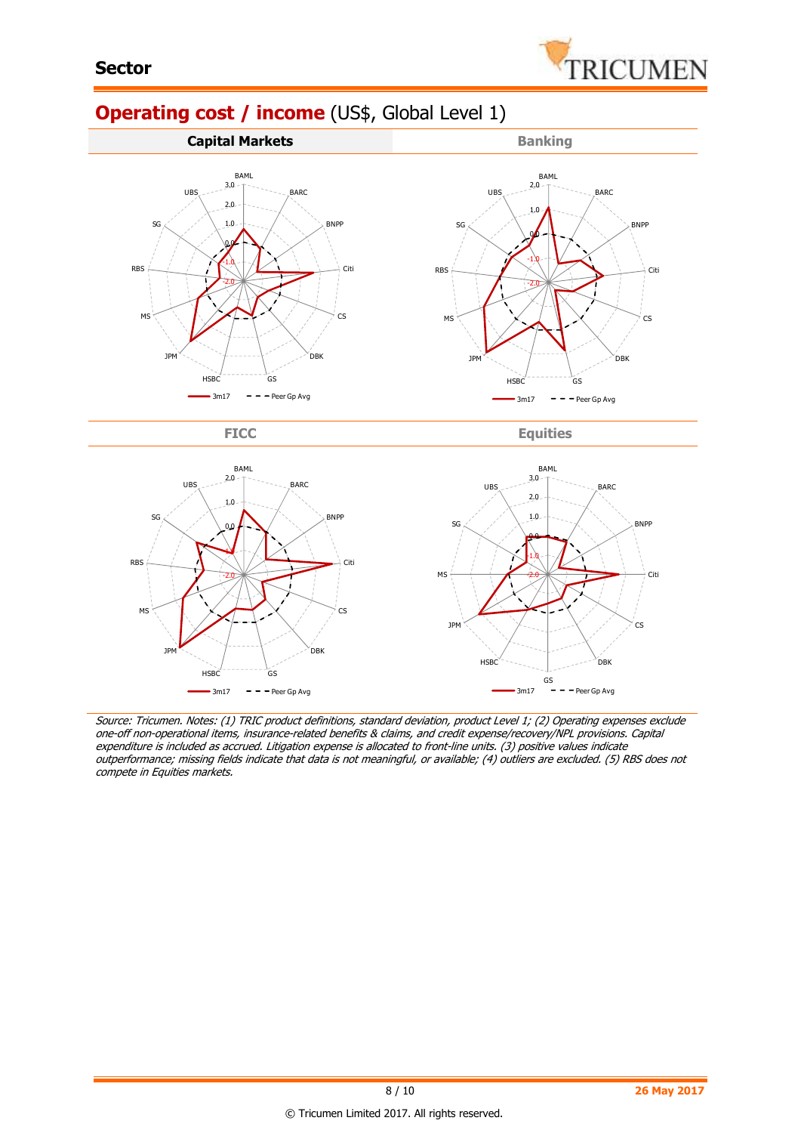

# **Operating cost / income** (US\$, Global Level 1)



FICC Equities



Source: Tricumen. Notes: (1) TRIC product definitions, standard deviation, product Level 1; (2) Operating expenses exclude one-off non-operational items, insurance-related benefits & claims, and credit expense/recovery/NPL provisions. Capital expenditure is included as accrued. Litigation expense is allocated to front-line units. (3) positive values indicate outperformance; missing fields indicate that data is not meaningful, or available; (4) outliers are excluded. (5) RBS does not compete in Equities markets.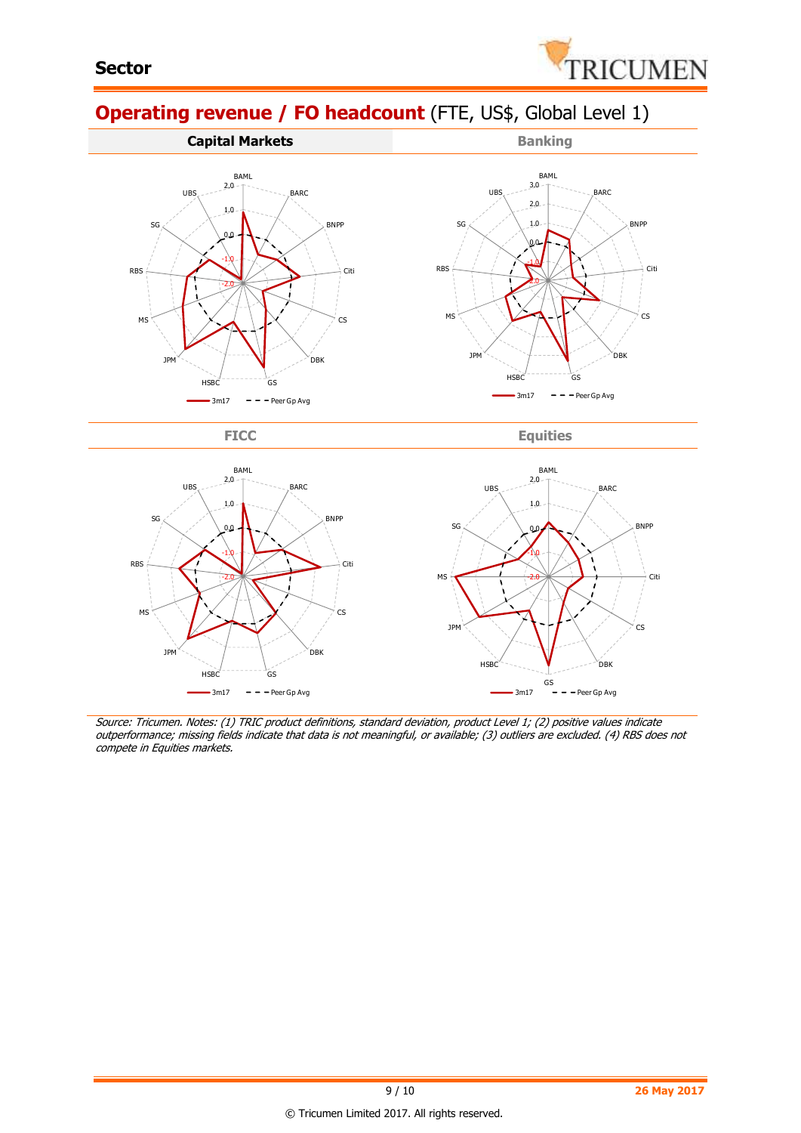

# **Operating revenue / FO headcount** (FTE, US\$, Global Level 1)



FICC Equities



Source: Tricumen. Notes: (1) TRIC product definitions, standard deviation, product Level 1; (2) positive values indicate outperformance; missing fields indicate that data is not meaningful, or available; (3) outliers are excluded. (4) RBS does not compete in Equities markets.